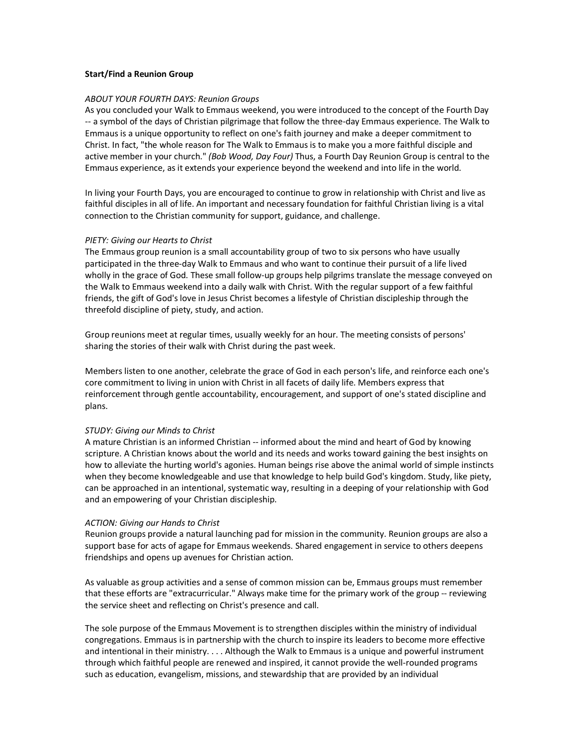## Start/Find a Reunion Group

# ABOUT YOUR FOURTH DAYS: Reunion Groups

As you concluded your Walk to Emmaus weekend, you were introduced to the concept of the Fourth Day -- a symbol of the days of Christian pilgrimage that follow the three-day Emmaus experience. The Walk to Emmaus is a unique opportunity to reflect on one's faith journey and make a deeper commitment to Christ. In fact, "the whole reason for The Walk to Emmaus is to make you a more faithful disciple and active member in your church." (Bob Wood, Day Four) Thus, a Fourth Day Reunion Group is central to the Emmaus experience, as it extends your experience beyond the weekend and into life in the world.

In living your Fourth Days, you are encouraged to continue to grow in relationship with Christ and live as faithful disciples in all of life. An important and necessary foundation for faithful Christian living is a vital connection to the Christian community for support, guidance, and challenge.

## PIETY: Giving our Hearts to Christ

The Emmaus group reunion is a small accountability group of two to six persons who have usually participated in the three-day Walk to Emmaus and who want to continue their pursuit of a life lived wholly in the grace of God. These small follow-up groups help pilgrims translate the message conveyed on the Walk to Emmaus weekend into a daily walk with Christ. With the regular support of a few faithful friends, the gift of God's love in Jesus Christ becomes a lifestyle of Christian discipleship through the threefold discipline of piety, study, and action.

Group reunions meet at regular times, usually weekly for an hour. The meeting consists of persons' sharing the stories of their walk with Christ during the past week.

Members listen to one another, celebrate the grace of God in each person's life, and reinforce each one's core commitment to living in union with Christ in all facets of daily life. Members express that reinforcement through gentle accountability, encouragement, and support of one's stated discipline and plans.

## STUDY: Giving our Minds to Christ

A mature Christian is an informed Christian -- informed about the mind and heart of God by knowing scripture. A Christian knows about the world and its needs and works toward gaining the best insights on how to alleviate the hurting world's agonies. Human beings rise above the animal world of simple instincts when they become knowledgeable and use that knowledge to help build God's kingdom. Study, like piety, can be approached in an intentional, systematic way, resulting in a deeping of your relationship with God and an empowering of your Christian discipleship.

## ACTION: Giving our Hands to Christ

Reunion groups provide a natural launching pad for mission in the community. Reunion groups are also a support base for acts of agape for Emmaus weekends. Shared engagement in service to others deepens friendships and opens up avenues for Christian action.

As valuable as group activities and a sense of common mission can be, Emmaus groups must remember that these efforts are "extracurricular." Always make time for the primary work of the group -- reviewing the service sheet and reflecting on Christ's presence and call.

The sole purpose of the Emmaus Movement is to strengthen disciples within the ministry of individual congregations. Emmaus is in partnership with the church to inspire its leaders to become more effective and intentional in their ministry. . . . Although the Walk to Emmaus is a unique and powerful instrument through which faithful people are renewed and inspired, it cannot provide the well-rounded programs such as education, evangelism, missions, and stewardship that are provided by an individual